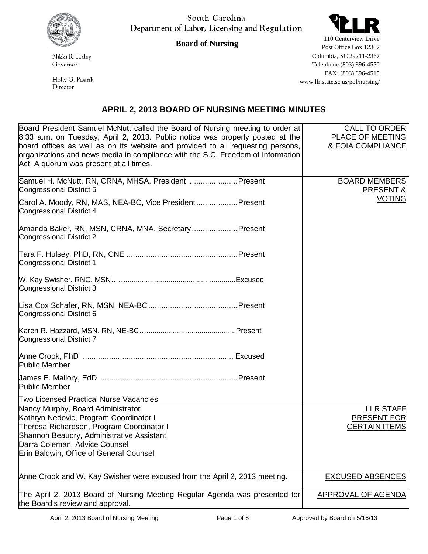

South Carolina Department of Labor, Licensing and Regulation



**Board of Nursing**

Nikki R. Haley Governor

Holly G. Pisarik Director

110 Centerview Drive Post Office Box 12367 Columbia, SC 29211-2367 Telephone (803) 896-4550 FAX: (803) 896-4515 www.llr.state.sc.us/pol/nursing/

## **APRIL 2, 2013 BOARD OF NURSING MEETING MINUTES**

| Board President Samuel McNutt called the Board of Nursing meeting to order at                                                                                                                                                                                                                  | CALL TO ORDER                         |
|------------------------------------------------------------------------------------------------------------------------------------------------------------------------------------------------------------------------------------------------------------------------------------------------|---------------------------------------|
| 8:33 a.m. on Tuesday, April 2, 2013. Public notice was properly posted at the<br>board offices as well as on its website and provided to all requesting persons,<br>prganizations and news media in compliance with the S.C. Freedom of Information<br>Act. A quorum was present at all times. | PLACE OF MEETING<br>& FOIA COMPLIANCE |
| Samuel H. McNutt, RN, CRNA, MHSA, President  Present<br>Congressional District 5                                                                                                                                                                                                               | <b>BOARD MEMBERS</b><br>PRESENT &     |
| Carol A. Moody, RN, MAS, NEA-BC, Vice President Present<br>Congressional District 4                                                                                                                                                                                                            | <b>VOTING</b>                         |
| Amanda Baker, RN, MSN, CRNA, MNA, Secretary Present<br>Congressional District 2                                                                                                                                                                                                                |                                       |
| <b>Congressional District 1</b>                                                                                                                                                                                                                                                                |                                       |
| Congressional District 3                                                                                                                                                                                                                                                                       |                                       |
| Congressional District 6                                                                                                                                                                                                                                                                       |                                       |
| Congressional District 7                                                                                                                                                                                                                                                                       |                                       |
| <b>Public Member</b>                                                                                                                                                                                                                                                                           |                                       |
| <b>Public Member</b>                                                                                                                                                                                                                                                                           |                                       |
| <b>Two Licensed Practical Nurse Vacancies</b>                                                                                                                                                                                                                                                  |                                       |
| Nancy Murphy, Board Administrator                                                                                                                                                                                                                                                              | <u>LLR STAFF</u>                      |
| Kathryn Nedovic, Program Coordinator I<br>Theresa Richardson, Program Coordinator I                                                                                                                                                                                                            | PRESENT FOR<br><b>CERTAIN ITEMS</b>   |
| Shannon Beaudry, Administrative Assistant                                                                                                                                                                                                                                                      |                                       |
| Darra Coleman, Advice Counsel                                                                                                                                                                                                                                                                  |                                       |
| <b>Erin Baldwin, Office of General Counsel</b>                                                                                                                                                                                                                                                 |                                       |
| Anne Crook and W. Kay Swisher were excused from the April 2, 2013 meeting.                                                                                                                                                                                                                     | <b>EXCUSED ABSENCES</b>               |
| The April 2, 2013 Board of Nursing Meeting Regular Agenda was presented for<br>the Board's review and approval.                                                                                                                                                                                | <b>APPROVAL OF AGENDA</b>             |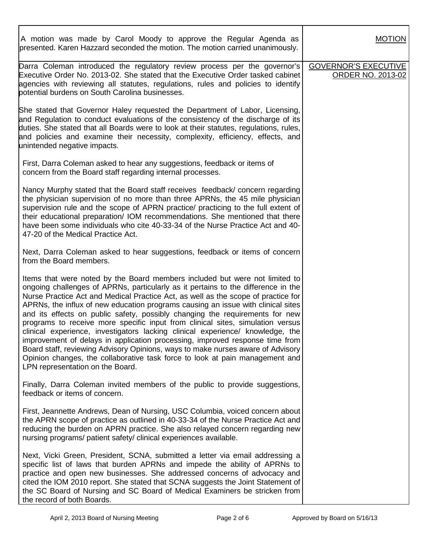| A motion was made by Carol Moody to approve the Regular Agenda as<br>presented. Karen Hazzard seconded the motion. The motion carried unanimously.                                                                                                                                                                                                                                                                                                                                                                                                                                                                                                                                                                                                                                                                                                                                   | <b>MOTION</b>                                           |
|--------------------------------------------------------------------------------------------------------------------------------------------------------------------------------------------------------------------------------------------------------------------------------------------------------------------------------------------------------------------------------------------------------------------------------------------------------------------------------------------------------------------------------------------------------------------------------------------------------------------------------------------------------------------------------------------------------------------------------------------------------------------------------------------------------------------------------------------------------------------------------------|---------------------------------------------------------|
| Darra Coleman introduced the regulatory review process per the governor's<br>Executive Order No. 2013-02. She stated that the Executive Order tasked cabinet<br>agencies with reviewing all statutes, regulations, rules and policies to identify<br>potential burdens on South Carolina businesses.                                                                                                                                                                                                                                                                                                                                                                                                                                                                                                                                                                                 | <b>GOVERNOR'S EXECUTIVE</b><br><b>ORDER NO. 2013-02</b> |
| She stated that Governor Haley requested the Department of Labor, Licensing,<br>and Regulation to conduct evaluations of the consistency of the discharge of its<br>duties. She stated that all Boards were to look at their statutes, regulations, rules,<br>and policies and examine their necessity, complexity, efficiency, effects, and<br>unintended negative impacts.                                                                                                                                                                                                                                                                                                                                                                                                                                                                                                         |                                                         |
| First, Darra Coleman asked to hear any suggestions, feedback or items of<br>concern from the Board staff regarding internal processes.                                                                                                                                                                                                                                                                                                                                                                                                                                                                                                                                                                                                                                                                                                                                               |                                                         |
| Nancy Murphy stated that the Board staff receives feedback/ concern regarding<br>the physician supervision of no more than three APRNs, the 45 mile physician<br>supervision rule and the scope of APRN practice/ practicing to the full extent of<br>their educational preparation/ IOM recommendations. She mentioned that there<br>have been some individuals who cite 40-33-34 of the Nurse Practice Act and 40-<br>47-20 of the Medical Practice Act.                                                                                                                                                                                                                                                                                                                                                                                                                           |                                                         |
| Next, Darra Coleman asked to hear suggestions, feedback or items of concern<br>from the Board members.                                                                                                                                                                                                                                                                                                                                                                                                                                                                                                                                                                                                                                                                                                                                                                               |                                                         |
| Items that were noted by the Board members included but were not limited to<br>ongoing challenges of APRNs, particularly as it pertains to the difference in the<br>Nurse Practice Act and Medical Practice Act, as well as the scope of practice for<br>APRNs, the influx of new education programs causing an issue with clinical sites<br>and its effects on public safety, possibly changing the requirements for new<br>programs to receive more specific input from clinical sites, simulation versus<br>clinical experience, investigators lacking clinical experience/ knowledge, the<br>improvement of delays in application processing, improved response time from<br>Board staff, reviewing Advisory Opinions, ways to make nurses aware of Advisory<br>Opinion changes, the collaborative task force to look at pain management and<br>LPN representation on the Board. |                                                         |
| Finally, Darra Coleman invited members of the public to provide suggestions,<br>feedback or items of concern.                                                                                                                                                                                                                                                                                                                                                                                                                                                                                                                                                                                                                                                                                                                                                                        |                                                         |
| First, Jeannette Andrews, Dean of Nursing, USC Columbia, voiced concern about<br>the APRN scope of practice as outlined in 40-33-34 of the Nurse Practice Act and<br>reducing the burden on APRN practice. She also relayed concern regarding new<br>nursing programs/ patient safety/ clinical experiences available.                                                                                                                                                                                                                                                                                                                                                                                                                                                                                                                                                               |                                                         |
| Next, Vicki Green, President, SCNA, submitted a letter via email addressing a<br>specific list of laws that burden APRNs and impede the ability of APRNs to<br>practice and open new businesses. She addressed concerns of advocacy and<br>cited the IOM 2010 report. She stated that SCNA suggests the Joint Statement of<br>the SC Board of Nursing and SC Board of Medical Examiners be stricken from<br>the record of both Boards.                                                                                                                                                                                                                                                                                                                                                                                                                                               |                                                         |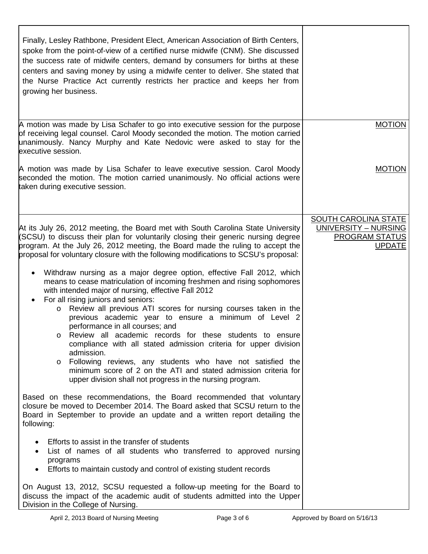| Finally, Lesley Rathbone, President Elect, American Association of Birth Centers,<br>spoke from the point-of-view of a certified nurse midwife (CNM). She discussed<br>the success rate of midwife centers, demand by consumers for births at these<br>centers and saving money by using a midwife center to deliver. She stated that<br>the Nurse Practice Act currently restricts her practice and keeps her from<br>growing her business.                                                                                                                                                                                                                                                                                                                                                                                                                                                                                                                                                                                                                                                                                                                                                                                                                                                                                                                                                                                                                                                                                                  |                                                                                        |
|-----------------------------------------------------------------------------------------------------------------------------------------------------------------------------------------------------------------------------------------------------------------------------------------------------------------------------------------------------------------------------------------------------------------------------------------------------------------------------------------------------------------------------------------------------------------------------------------------------------------------------------------------------------------------------------------------------------------------------------------------------------------------------------------------------------------------------------------------------------------------------------------------------------------------------------------------------------------------------------------------------------------------------------------------------------------------------------------------------------------------------------------------------------------------------------------------------------------------------------------------------------------------------------------------------------------------------------------------------------------------------------------------------------------------------------------------------------------------------------------------------------------------------------------------|----------------------------------------------------------------------------------------|
| A motion was made by Lisa Schafer to go into executive session for the purpose<br>of receiving legal counsel. Carol Moody seconded the motion. The motion carried<br>unanimously. Nancy Murphy and Kate Nedovic were asked to stay for the<br>executive session.                                                                                                                                                                                                                                                                                                                                                                                                                                                                                                                                                                                                                                                                                                                                                                                                                                                                                                                                                                                                                                                                                                                                                                                                                                                                              | <b>MOTION</b>                                                                          |
| A motion was made by Lisa Schafer to leave executive session. Carol Moody<br>seconded the motion. The motion carried unanimously. No official actions were<br>taken during executive session.                                                                                                                                                                                                                                                                                                                                                                                                                                                                                                                                                                                                                                                                                                                                                                                                                                                                                                                                                                                                                                                                                                                                                                                                                                                                                                                                                 | <b>MOTION</b>                                                                          |
| At its July 26, 2012 meeting, the Board met with South Carolina State University<br>(SCSU) to discuss their plan for voluntarily closing their generic nursing degree<br>program. At the July 26, 2012 meeting, the Board made the ruling to accept the<br>proposal for voluntary closure with the following modifications to SCSU's proposal:<br>Withdraw nursing as a major degree option, effective Fall 2012, which<br>$\bullet$<br>means to cease matriculation of incoming freshmen and rising sophomores<br>with intended major of nursing, effective Fall 2012<br>For all rising juniors and seniors:<br>Review all previous ATI scores for nursing courses taken in the<br>$\circ$<br>previous academic year to ensure a minimum of Level 2<br>performance in all courses; and<br>Review all academic records for these students to ensure<br>$\circ$<br>compliance with all stated admission criteria for upper division<br>admission.<br>Following reviews, any students who have not satisfied the<br>$\circ$<br>minimum score of 2 on the ATI and stated admission criteria for<br>upper division shall not progress in the nursing program.<br>Based on these recommendations, the Board recommended that voluntary<br>closure be moved to December 2014. The Board asked that SCSU return to the<br>Board in September to provide an update and a written report detailing the<br>following:<br>Efforts to assist in the transfer of students<br>List of names of all students who transferred to approved nursing<br>programs | SOUTH CAROLINA STATE<br>UNIVERSITY - NURSING<br><b>PROGRAM STATUS</b><br><b>UPDATE</b> |
| Efforts to maintain custody and control of existing student records<br>On August 13, 2012, SCSU requested a follow-up meeting for the Board to<br>discuss the impact of the academic audit of students admitted into the Upper<br>Division in the College of Nursing.                                                                                                                                                                                                                                                                                                                                                                                                                                                                                                                                                                                                                                                                                                                                                                                                                                                                                                                                                                                                                                                                                                                                                                                                                                                                         |                                                                                        |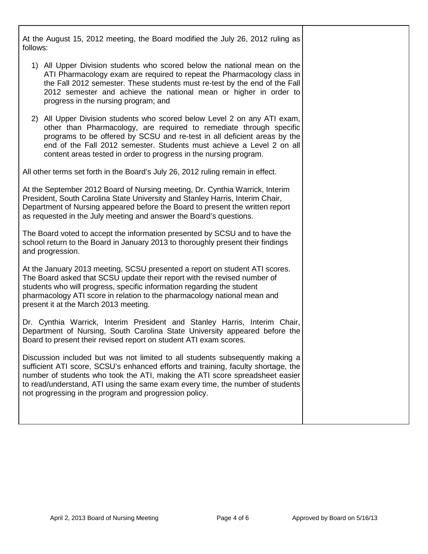At the August 15, 2012 meeting, the Board modified the July 26, 2012 ruling as follows:

- 1) All Upper Division students who scored below the national mean on the ATI Pharmacology exam are required to repeat the Pharmacology class in the Fall 2012 semester. These students must re-test by the end of the Fall 2012 semester and achieve the national mean or higher in order to progress in the nursing program; and
- 2) All Upper Division students who scored below Level 2 on any ATI exam, other than Pharmacology, are required to remediate through specific programs to be offered by SCSU and re-test in all deficient areas by the end of the Fall 2012 semester. Students must achieve a Level 2 on all content areas tested in order to progress in the nursing program.

All other terms set forth in the Board's July 26, 2012 ruling remain in effect.

At the September 2012 Board of Nursing meeting, Dr. Cynthia Warrick, Interim President, South Carolina State University and Stanley Harris, Interim Chair, Department of Nursing appeared before the Board to present the written report as requested in the July meeting and answer the Board's questions.

The Board voted to accept the information presented by SCSU and to have the school return to the Board in January 2013 to thoroughly present their findings and progression.

At the January 2013 meeting, SCSU presented a report on student ATI scores. The Board asked that SCSU update their report with the revised number of students who will progress, specific information regarding the student pharmacology ATI score in relation to the pharmacology national mean and present it at the March 2013 meeting.

Dr. Cynthia Warrick, Interim President and Stanley Harris, Interim Chair, Department of Nursing, South Carolina State University appeared before the Board to present their revised report on student ATI exam scores.

Discussion included but was not limited to all students subsequently making a sufficient ATI score, SCSU's enhanced efforts and training, faculty shortage, the number of students who took the ATI, making the ATI score spreadsheet easier to read/understand, ATI using the same exam every time, the number of students not progressing in the program and progression policy.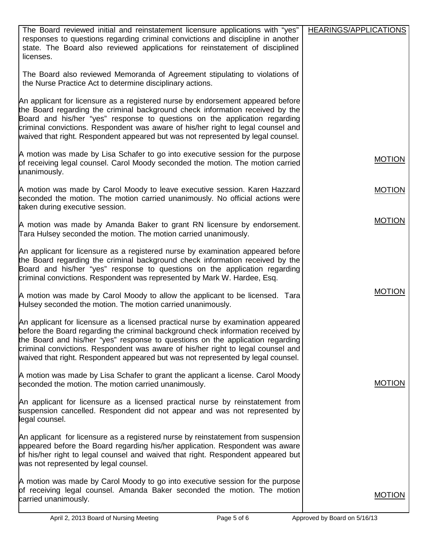| The Board reviewed initial and reinstatement licensure applications with "yes"<br>responses to questions regarding criminal convictions and discipline in another<br>state. The Board also reviewed applications for reinstatement of disciplined<br>licenses.                                                                                                                                                                 | HEARINGS/APPLICATIONS |
|--------------------------------------------------------------------------------------------------------------------------------------------------------------------------------------------------------------------------------------------------------------------------------------------------------------------------------------------------------------------------------------------------------------------------------|-----------------------|
| The Board also reviewed Memoranda of Agreement stipulating to violations of<br>the Nurse Practice Act to determine disciplinary actions.                                                                                                                                                                                                                                                                                       |                       |
| An applicant for licensure as a registered nurse by endorsement appeared before<br>the Board regarding the criminal background check information received by the<br>Board and his/her "yes" response to questions on the application regarding<br>criminal convictions. Respondent was aware of his/her right to legal counsel and<br>waived that right. Respondent appeared but was not represented by legal counsel.         |                       |
| A motion was made by Lisa Schafer to go into executive session for the purpose<br>of receiving legal counsel. Carol Moody seconded the motion. The motion carried<br>unanimously.                                                                                                                                                                                                                                              | <b>MOTION</b>         |
| A motion was made by Carol Moody to leave executive session. Karen Hazzard<br>seconded the motion. The motion carried unanimously. No official actions were<br>taken during executive session.                                                                                                                                                                                                                                 | <b>MOTION</b>         |
| A motion was made by Amanda Baker to grant RN licensure by endorsement.<br>Tara Hulsey seconded the motion. The motion carried unanimously.                                                                                                                                                                                                                                                                                    | <b>MOTION</b>         |
| An applicant for licensure as a registered nurse by examination appeared before<br>the Board regarding the criminal background check information received by the<br>Board and his/her "yes" response to questions on the application regarding<br>criminal convictions. Respondent was represented by Mark W. Hardee, Esq.                                                                                                     |                       |
| A motion was made by Carol Moody to allow the applicant to be licensed. Tara<br>Hulsey seconded the motion. The motion carried unanimously.                                                                                                                                                                                                                                                                                    | <b>MOTION</b>         |
| An applicant for licensure as a licensed practical nurse by examination appeared<br>before the Board regarding the criminal background check information received by<br>the Board and his/her "yes" response to questions on the application regarding<br>criminal convictions. Respondent was aware of his/her right to legal counsel and<br>waived that right. Respondent appeared but was not represented by legal counsel. |                       |
| A motion was made by Lisa Schafer to grant the applicant a license. Carol Moody<br>seconded the motion. The motion carried unanimously.                                                                                                                                                                                                                                                                                        | <b>MOTION</b>         |
| An applicant for licensure as a licensed practical nurse by reinstatement from<br>suspension cancelled. Respondent did not appear and was not represented by<br>legal counsel.                                                                                                                                                                                                                                                 |                       |
| An applicant for licensure as a registered nurse by reinstatement from suspension<br>appeared before the Board regarding his/her application. Respondent was aware<br>of his/her right to legal counsel and waived that right. Respondent appeared but<br>was not represented by legal counsel.                                                                                                                                |                       |
| A motion was made by Carol Moody to go into executive session for the purpose<br>of receiving legal counsel. Amanda Baker seconded the motion. The motion<br>carried unanimously.                                                                                                                                                                                                                                              | <b>MOTION</b>         |